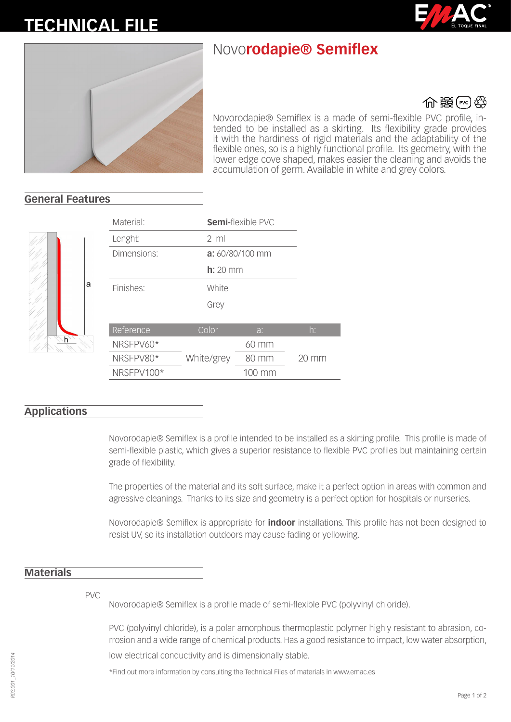# **FICHA TÉC-TECHNICAL FILE**

## Novo**rodapie® Semiflex**



### ∰ 畿⊮∛

Novorodapie® Semiflex is a made of semi-flexible PVC profile, intended to be installed as a skirting. Its flexibility grade provides it with the hardiness of rigid materials and the adaptability of the flexible ones, so is a highly functional profile. Its geometry, with the lower edge cove shaped, makes easier the cleaning and avoids the accumulation of germ. Available in white and grey colors.

#### **General Features**



| Material:   | <b>Semi-flexible PVC</b> |        |                 |
|-------------|--------------------------|--------|-----------------|
| Lenght:     | $2 \text{ ml}$           |        |                 |
| Dimensions: | a: 60/80/100 mm          |        |                 |
| $h: 20$ mm  |                          |        |                 |
| Finishes:   | White                    |        |                 |
|             | Grey                     |        |                 |
|             |                          |        |                 |
| Reference   | Color                    | a:     | $h$ :           |
| NRSFPV60*   |                          | 60 mm  |                 |
| NRSFPV80*   | White/grey               | 80 mm  | $20 \text{ mm}$ |
| NRSFPV100*  |                          | 100 mm |                 |

#### **Applications**

Novorodapie® Semiflex is a profile intended to be installed as a skirting profile. This profile is made of semi-flexible plastic, which gives a superior resistance to flexible PVC profiles but maintaining certain grade of flexibility.

The properties of the material and its soft surface, make it a perfect option in areas with common and agressive cleanings. Thanks to its size and geometry is a perfect option for hospitals or nurseries.

Novorodapie® Semiflex is appropriate for **indoor** installations. This profile has not been designed to resist UV, so its installation outdoors may cause fading or yellowing.

#### **Materials**

PVC

Novorodapie® Semiflex is a profile made of semi-flexible PVC (polyvinyl chloride).

PVC (polyvinyl chloride), is a polar amorphous thermoplastic polymer highly resistant to abrasion, corrosion and a wide range of chemical products. Has a good resistance to impact, low water absorption, low electrical conductivity and is dimensionally stable.

\*Find out more information by consulting the Technical Files of materials in www.emac.es